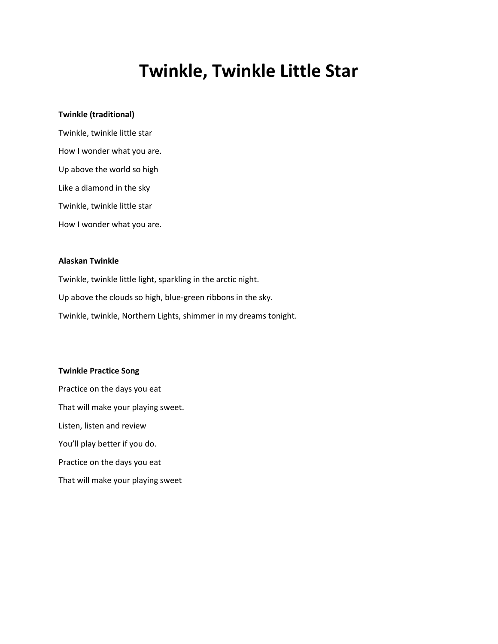# **Twinkle, Twinkle Little Star**

#### **Twinkle (traditional)**

Twinkle, twinkle little star How I wonder what you are. Up above the world so high Like a diamond in the sky Twinkle, twinkle little star How I wonder what you are.

# **Alaskan Twinkle**

Twinkle, twinkle little light, sparkling in the arctic night. Up above the clouds so high, blue-green ribbons in the sky. Twinkle, twinkle, Northern Lights, shimmer in my dreams tonight.

#### **Twinkle Practice Song**

Practice on the days you eat That will make your playing sweet. Listen, listen and review You'll play better if you do. Practice on the days you eat That will make your playing sweet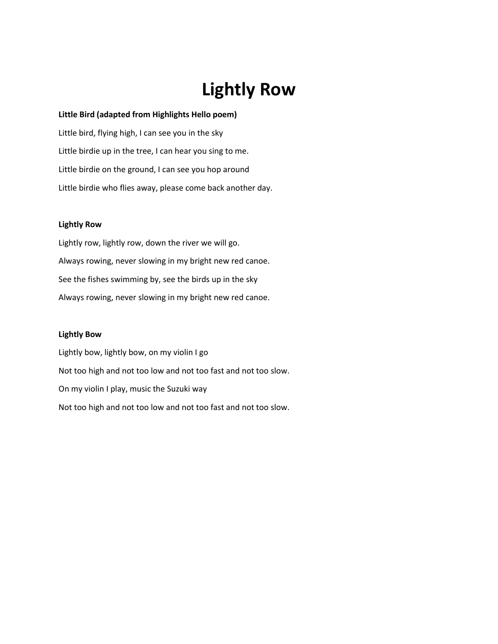# **Lightly Row**

### **Little Bird (adapted from Highlights Hello poem)**

Little bird, flying high, I can see you in the sky Little birdie up in the tree, I can hear you sing to me. Little birdie on the ground, I can see you hop around Little birdie who flies away, please come back another day.

#### **Lightly Row**

Lightly row, lightly row, down the river we will go. Always rowing, never slowing in my bright new red canoe. See the fishes swimming by, see the birds up in the sky Always rowing, never slowing in my bright new red canoe.

#### **Lightly Bow**

Lightly bow, lightly bow, on my violin I go Not too high and not too low and not too fast and not too slow. On my violin I play, music the Suzuki way Not too high and not too low and not too fast and not too slow.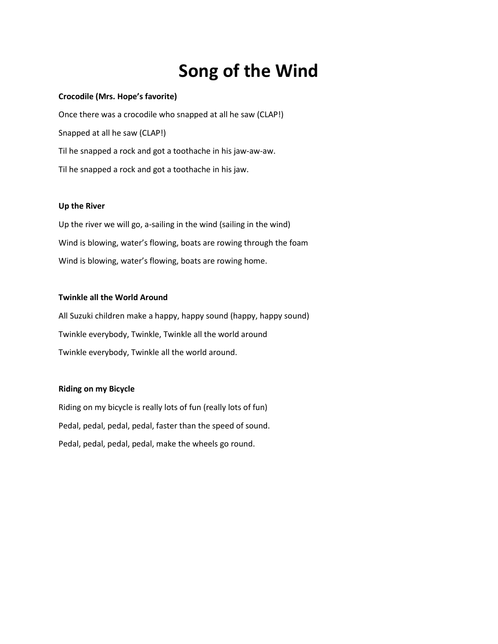# **Song of the Wind**

### **Crocodile (Mrs. Hope's favorite)**

Once there was a crocodile who snapped at all he saw (CLAP!) Snapped at all he saw (CLAP!) Til he snapped a rock and got a toothache in his jaw-aw-aw. Til he snapped a rock and got a toothache in his jaw.

### **Up the River**

Up the river we will go, a-sailing in the wind (sailing in the wind) Wind is blowing, water's flowing, boats are rowing through the foam Wind is blowing, water's flowing, boats are rowing home.

# **Twinkle all the World Around**

All Suzuki children make a happy, happy sound (happy, happy sound) Twinkle everybody, Twinkle, Twinkle all the world around Twinkle everybody, Twinkle all the world around.

# **Riding on my Bicycle**

Riding on my bicycle is really lots of fun (really lots of fun) Pedal, pedal, pedal, pedal, faster than the speed of sound. Pedal, pedal, pedal, pedal, make the wheels go round.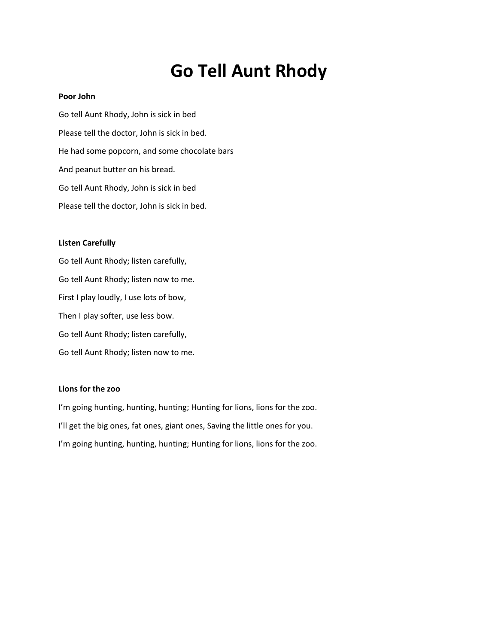# **Go Tell Aunt Rhody**

#### **Poor John**

Go tell Aunt Rhody, John is sick in bed Please tell the doctor, John is sick in bed. He had some popcorn, and some chocolate bars And peanut butter on his bread. Go tell Aunt Rhody, John is sick in bed Please tell the doctor, John is sick in bed.

### **Listen Carefully**

Go tell Aunt Rhody; listen carefully, Go tell Aunt Rhody; listen now to me. First I play loudly, I use lots of bow, Then I play softer, use less bow. Go tell Aunt Rhody; listen carefully, Go tell Aunt Rhody; listen now to me.

### **Lions for the zoo**

I'm going hunting, hunting, hunting; Hunting for lions, lions for the zoo. I'll get the big ones, fat ones, giant ones, Saving the little ones for you. I'm going hunting, hunting, hunting; Hunting for lions, lions for the zoo.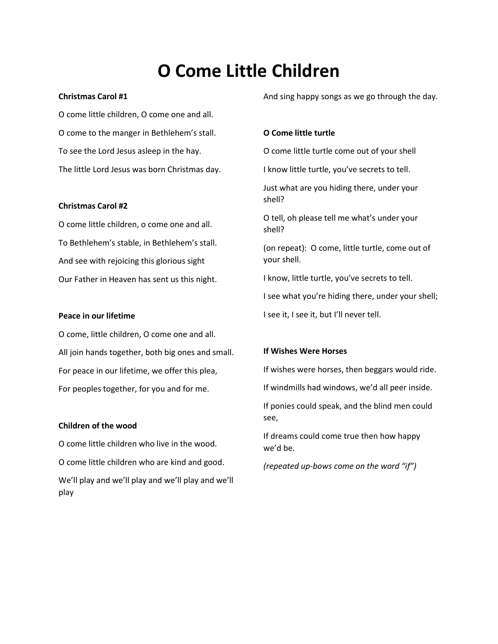# **O Come Little Children**

### **Christmas Carol #1**

O come little children, O come one and all. O come to the manger in Bethlehem's stall. To see the Lord Jesus asleep in the hay. The little Lord Jesus was born Christmas day.

### **Christmas Carol #2**

O come little children, o come one and all. To Bethlehem's stable, in Bethlehem's stall. And see with rejoicing this glorious sight Our Father in Heaven has sent us this night.

### **Peace in our lifetime**

O come, little children, O come one and all. All join hands together, both big ones and small. For peace in our lifetime, we offer this plea, For peoples together, for you and for me.

### **Children of the wood**

O come little children who live in the wood. O come little children who are kind and good. We'll play and we'll play and we'll play and we'll play

And sing happy songs as we go through the day.

# **O Come little turtle**

O come little turtle come out of your shell

I know little turtle, you've secrets to tell.

Just what are you hiding there, under your shell?

O tell, oh please tell me what's under your shell?

(on repeat): O come, little turtle, come out of your shell.

I know, little turtle, you've secrets to tell.

I see what you're hiding there, under your shell;

I see it, I see it, but I'll never tell.

# **If Wishes Were Horses**

If wishes were horses, then beggars would ride.

If windmills had windows, we'd all peer inside.

If ponies could speak, and the blind men could see,

If dreams could come true then how happy we'd be.

*(repeated up-bows come on the word "if")*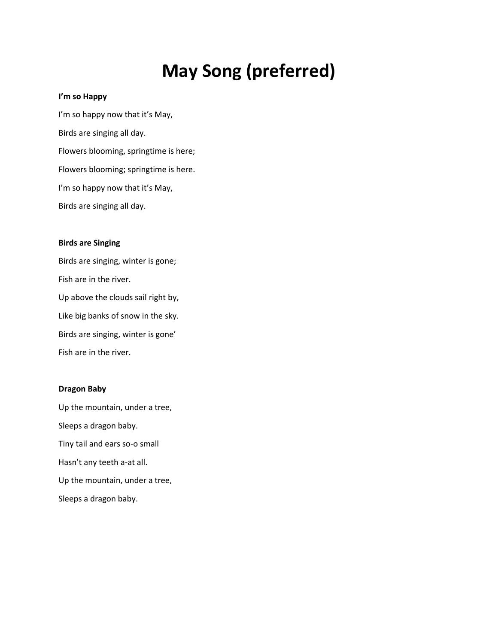# **May Song (preferred)**

### **I'm so Happy**

I'm so happy now that it's May, Birds are singing all day. Flowers blooming, springtime is here; Flowers blooming; springtime is here. I'm so happy now that it's May, Birds are singing all day.

### **Birds are Singing**

Birds are singing, winter is gone; Fish are in the river. Up above the clouds sail right by, Like big banks of snow in the sky. Birds are singing, winter is gone' Fish are in the river.

# **Dragon Baby**

Up the mountain, under a tree, Sleeps a dragon baby. Tiny tail and ears so-o small Hasn't any teeth a-at all. Up the mountain, under a tree, Sleeps a dragon baby.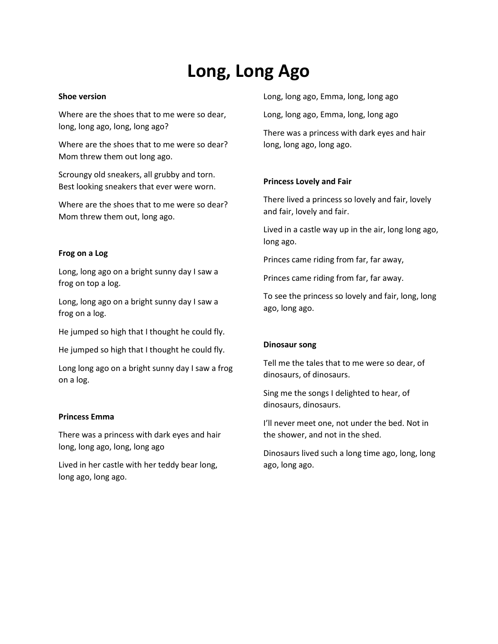# **Long, Long Ago**

### **Shoe version**

Where are the shoes that to me were so dear, long, long ago, long, long ago?

Where are the shoes that to me were so dear? Mom threw them out long ago.

Scroungy old sneakers, all grubby and torn. Best looking sneakers that ever were worn.

Where are the shoes that to me were so dear? Mom threw them out, long ago.

# **Frog on a Log**

Long, long ago on a bright sunny day I saw a frog on top a log.

Long, long ago on a bright sunny day I saw a frog on a log.

He jumped so high that I thought he could fly.

He jumped so high that I thought he could fly.

Long long ago on a bright sunny day I saw a frog on a log.

# **Princess Emma**

There was a princess with dark eyes and hair long, long ago, long, long ago

Lived in her castle with her teddy bear long, long ago, long ago.

Long, long ago, Emma, long, long ago

Long, long ago, Emma, long, long ago

There was a princess with dark eyes and hair long, long ago, long ago.

# **Princess Lovely and Fair**

There lived a princess so lovely and fair, lovely and fair, lovely and fair.

Lived in a castle way up in the air, long long ago, long ago.

Princes came riding from far, far away,

Princes came riding from far, far away.

To see the princess so lovely and fair, long, long ago, long ago.

# **Dinosaur song**

Tell me the tales that to me were so dear, of dinosaurs, of dinosaurs.

Sing me the songs I delighted to hear, of dinosaurs, dinosaurs.

I'll never meet one, not under the bed. Not in the shower, and not in the shed.

Dinosaurs lived such a long time ago, long, long ago, long ago.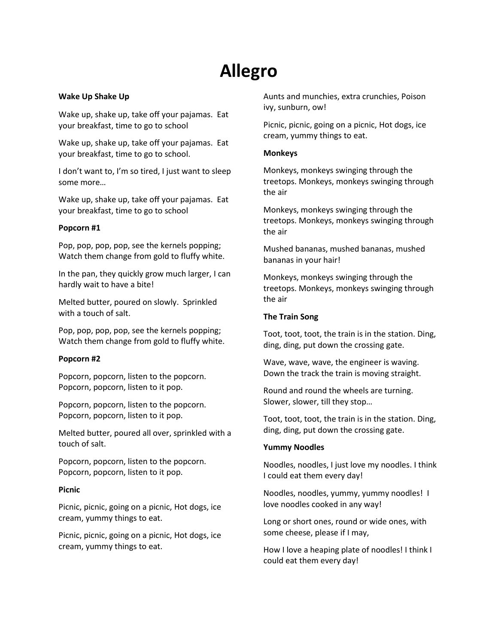# **Allegro**

# **Wake Up Shake Up**

Wake up, shake up, take off your pajamas. Eat your breakfast, time to go to school

Wake up, shake up, take off your pajamas. Eat your breakfast, time to go to school.

I don't want to, I'm so tired, I just want to sleep some more…

Wake up, shake up, take off your pajamas. Eat your breakfast, time to go to school

# **Popcorn #1**

Pop, pop, pop, pop, see the kernels popping; Watch them change from gold to fluffy white.

In the pan, they quickly grow much larger, I can hardly wait to have a bite!

Melted butter, poured on slowly. Sprinkled with a touch of salt.

Pop, pop, pop, pop, see the kernels popping; Watch them change from gold to fluffy white.

# **Popcorn #2**

Popcorn, popcorn, listen to the popcorn. Popcorn, popcorn, listen to it pop.

Popcorn, popcorn, listen to the popcorn. Popcorn, popcorn, listen to it pop.

Melted butter, poured all over, sprinkled with a touch of salt.

Popcorn, popcorn, listen to the popcorn. Popcorn, popcorn, listen to it pop.

# **Picnic**

Picnic, picnic, going on a picnic, Hot dogs, ice cream, yummy things to eat.

Picnic, picnic, going on a picnic, Hot dogs, ice cream, yummy things to eat.

Aunts and munchies, extra crunchies, Poison ivy, sunburn, ow!

Picnic, picnic, going on a picnic, Hot dogs, ice cream, yummy things to eat.

# **Monkeys**

Monkeys, monkeys swinging through the treetops. Monkeys, monkeys swinging through the air

Monkeys, monkeys swinging through the treetops. Monkeys, monkeys swinging through the air

Mushed bananas, mushed bananas, mushed bananas in your hair!

Monkeys, monkeys swinging through the treetops. Monkeys, monkeys swinging through the air

# **The Train Song**

Toot, toot, toot, the train is in the station. Ding, ding, ding, put down the crossing gate.

Wave, wave, wave, the engineer is waving. Down the track the train is moving straight.

Round and round the wheels are turning. Slower, slower, till they stop…

Toot, toot, toot, the train is in the station. Ding, ding, ding, put down the crossing gate.

# **Yummy Noodles**

Noodles, noodles, I just love my noodles. I think I could eat them every day!

Noodles, noodles, yummy, yummy noodles! I love noodles cooked in any way!

Long or short ones, round or wide ones, with some cheese, please if I may,

How I love a heaping plate of noodles! I think I could eat them every day!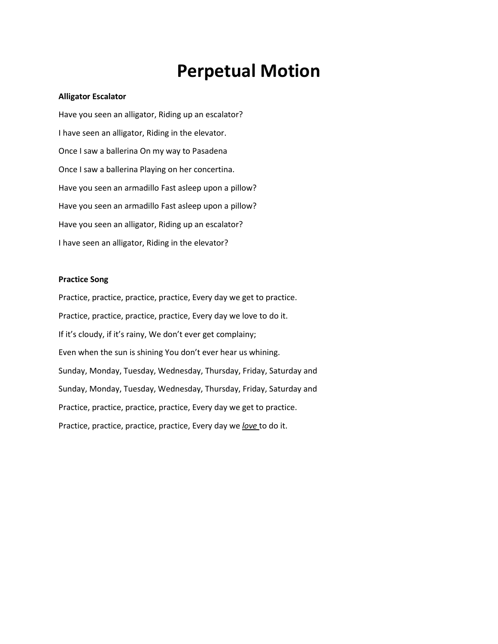# **Perpetual Motion**

### **Alligator Escalator**

Have you seen an alligator, Riding up an escalator? I have seen an alligator, Riding in the elevator. Once I saw a ballerina On my way to Pasadena Once I saw a ballerina Playing on her concertina. Have you seen an armadillo Fast asleep upon a pillow? Have you seen an armadillo Fast asleep upon a pillow? Have you seen an alligator, Riding up an escalator? I have seen an alligator, Riding in the elevator?

### **Practice Song**

Practice, practice, practice, practice, Every day we get to practice. Practice, practice, practice, practice, Every day we love to do it. If it's cloudy, if it's rainy, We don't ever get complainy; Even when the sun is shining You don't ever hear us whining. Sunday, Monday, Tuesday, Wednesday, Thursday, Friday, Saturday and Sunday, Monday, Tuesday, Wednesday, Thursday, Friday, Saturday and Practice, practice, practice, practice, Every day we get to practice. Practice, practice, practice, practice, Every day we *love* to do it.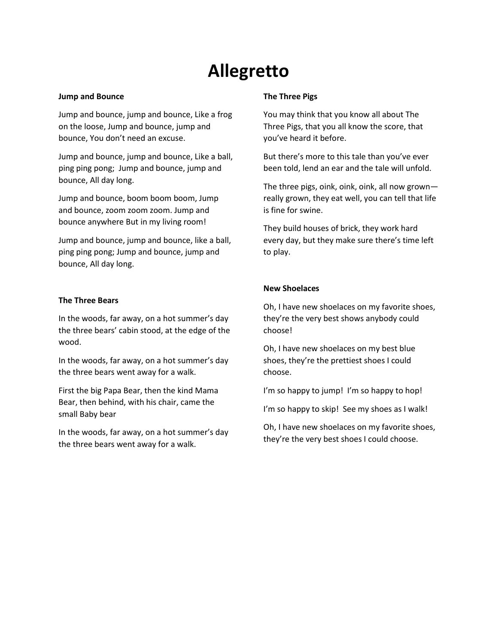# **Allegretto**

### **Jump and Bounce**

Jump and bounce, jump and bounce, Like a frog on the loose, Jump and bounce, jump and bounce, You don't need an excuse.

Jump and bounce, jump and bounce, Like a ball, ping ping pong; Jump and bounce, jump and bounce, All day long.

Jump and bounce, boom boom boom, Jump and bounce, zoom zoom zoom. Jump and bounce anywhere But in my living room!

Jump and bounce, jump and bounce, like a ball, ping ping pong; Jump and bounce, jump and bounce, All day long.

# **The Three Bears**

In the woods, far away, on a hot summer's day the three bears' cabin stood, at the edge of the wood.

In the woods, far away, on a hot summer's day the three bears went away for a walk.

First the big Papa Bear, then the kind Mama Bear, then behind, with his chair, came the small Baby bear

In the woods, far away, on a hot summer's day the three bears went away for a walk.

# **The Three Pigs**

You may think that you know all about The Three Pigs, that you all know the score, that you've heard it before.

But there's more to this tale than you've ever been told, lend an ear and the tale will unfold.

The three pigs, oink, oink, oink, all now grown really grown, they eat well, you can tell that life is fine for swine.

They build houses of brick, they work hard every day, but they make sure there's time left to play.

# **New Shoelaces**

Oh, I have new shoelaces on my favorite shoes, they're the very best shows anybody could choose!

Oh, I have new shoelaces on my best blue shoes, they're the prettiest shoes I could choose.

I'm so happy to jump! I'm so happy to hop!

I'm so happy to skip! See my shoes as I walk!

Oh, I have new shoelaces on my favorite shoes, they're the very best shoes I could choose.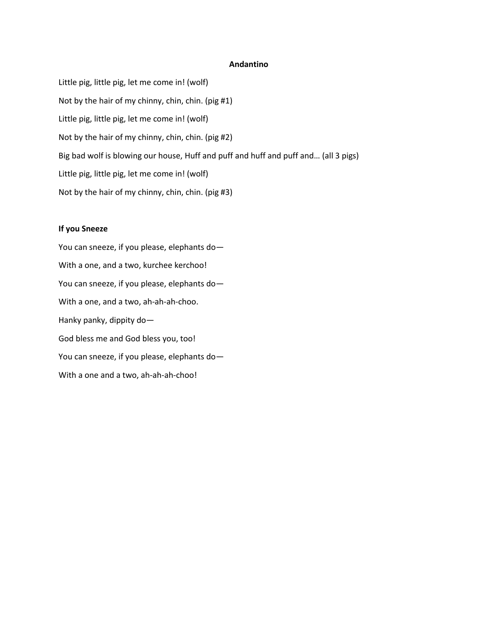#### **Andantino**

Little pig, little pig, let me come in! (wolf) Not by the hair of my chinny, chin, chin. (pig #1) Little pig, little pig, let me come in! (wolf) Not by the hair of my chinny, chin, chin. (pig #2) Big bad wolf is blowing our house, Huff and puff and huff and puff and… (all 3 pigs) Little pig, little pig, let me come in! (wolf) Not by the hair of my chinny, chin, chin. (pig #3)

### **If you Sneeze**

You can sneeze, if you please, elephants do— With a one, and a two, kurchee kerchoo! You can sneeze, if you please, elephants do— With a one, and a two, ah-ah-ah-choo. Hanky panky, dippity do— God bless me and God bless you, too! You can sneeze, if you please, elephants do— With a one and a two, ah-ah-ah-choo!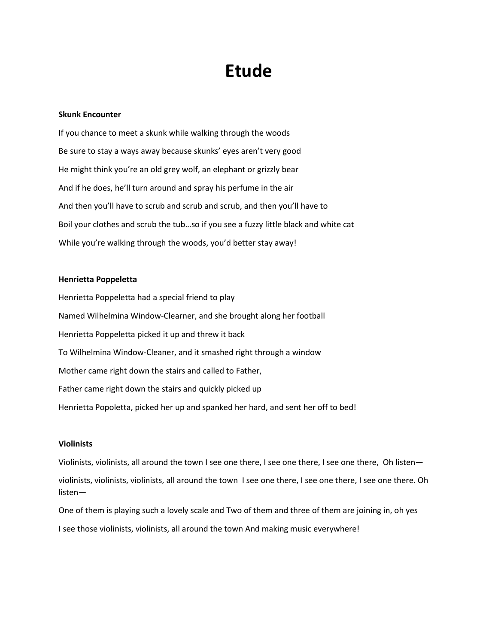# **Etude**

#### **Skunk Encounter**

If you chance to meet a skunk while walking through the woods Be sure to stay a ways away because skunks' eyes aren't very good He might think you're an old grey wolf, an elephant or grizzly bear And if he does, he'll turn around and spray his perfume in the air And then you'll have to scrub and scrub and scrub, and then you'll have to Boil your clothes and scrub the tub…so if you see a fuzzy little black and white cat While you're walking through the woods, you'd better stay away!

### **Henrietta Poppeletta**

Henrietta Poppeletta had a special friend to play Named Wilhelmina Window-Clearner, and she brought along her football Henrietta Poppeletta picked it up and threw it back To Wilhelmina Window-Cleaner, and it smashed right through a window Mother came right down the stairs and called to Father, Father came right down the stairs and quickly picked up Henrietta Popoletta, picked her up and spanked her hard, and sent her off to bed!

### **Violinists**

Violinists, violinists, all around the town I see one there, I see one there, I see one there, Oh listen violinists, violinists, violinists, all around the town I see one there, I see one there, I see one there. Oh listen—

One of them is playing such a lovely scale and Two of them and three of them are joining in, oh yes I see those violinists, violinists, all around the town And making music everywhere!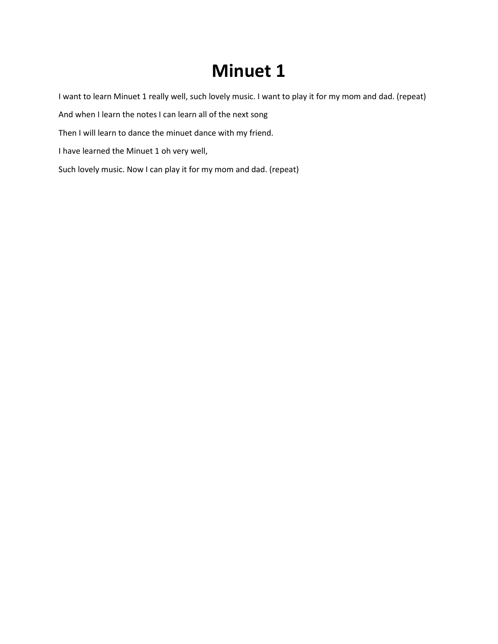# **Minuet 1**

I want to learn Minuet 1 really well, such lovely music. I want to play it for my mom and dad. (repeat) And when I learn the notes I can learn all of the next song Then I will learn to dance the minuet dance with my friend. I have learned the Minuet 1 oh very well, Such lovely music. Now I can play it for my mom and dad. (repeat)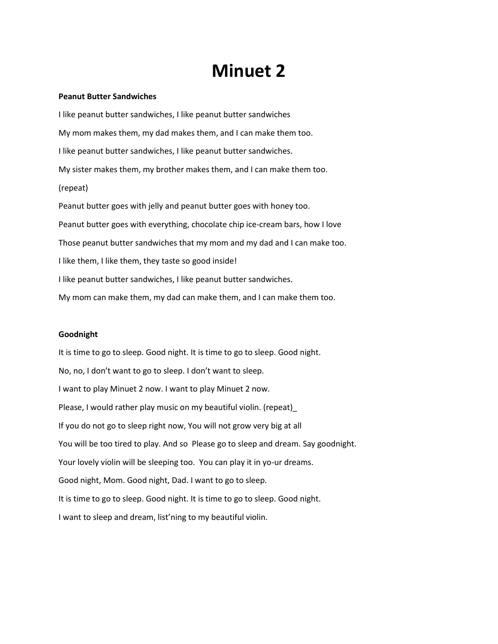# **Minuet 2**

#### **Peanut Butter Sandwiches**

I like peanut butter sandwiches, I like peanut butter sandwiches My mom makes them, my dad makes them, and I can make them too. I like peanut butter sandwiches, I like peanut butter sandwiches. My sister makes them, my brother makes them, and I can make them too. (repeat) Peanut butter goes with jelly and peanut butter goes with honey too. Peanut butter goes with everything, chocolate chip ice-cream bars, how I love Those peanut butter sandwiches that my mom and my dad and I can make too. I like them, I like them, they taste so good inside! I like peanut butter sandwiches, I like peanut butter sandwiches. My mom can make them, my dad can make them, and I can make them too.

#### **Goodnight**

It is time to go to sleep. Good night. It is time to go to sleep. Good night. No, no, I don't want to go to sleep. I don't want to sleep. I want to play Minuet 2 now. I want to play Minuet 2 now. Please, I would rather play music on my beautiful violin. (repeat)\_ If you do not go to sleep right now, You will not grow very big at all You will be too tired to play. And so Please go to sleep and dream. Say goodnight. Your lovely violin will be sleeping too. You can play it in yo-ur dreams. Good night, Mom. Good night, Dad. I want to go to sleep. It is time to go to sleep. Good night. It is time to go to sleep. Good night. I want to sleep and dream, list'ning to my beautiful violin.